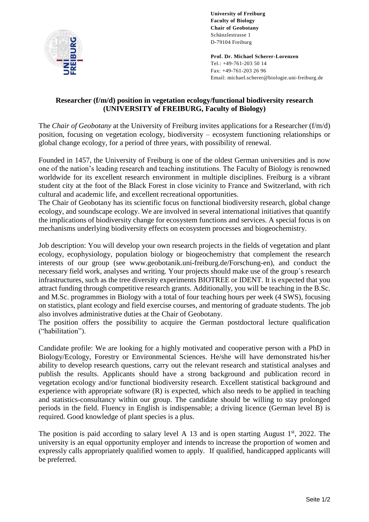

**University of Freiburg Faculty of Biology Chair of Geobotany** Schänzlestrasse 1 D-79104 Freiburg

**Prof. Dr. Michael Scherer-Lorenzen** Tel.: +49-761-203 50 14 Fax: +49-761-203 26 96 Email: michael.scherer@biologie.uni-freiburg.de

## **Researcher (f/m/d) position in vegetation ecology/functional biodiversity research (UNIVERSITY of FREIBURG, Faculty of Biology)**

The *Chair of Geobotany* at the University of Freiburg invites applications for a Researcher (f/m/d) position, focusing on vegetation ecology, biodiversity – ecosystem functioning relationships or global change ecology, for a period of three years, with possibility of renewal.

Founded in 1457, the University of Freiburg is one of the oldest German universities and is now one of the nation's leading research and teaching institutions. The Faculty of Biology is renowned worldwide for its excellent research environment in multiple disciplines. Freiburg is a vibrant student city at the foot of the Black Forest in close vicinity to France and Switzerland, with rich cultural and academic life, and excellent recreational opportunities.

The Chair of Geobotany has its scientific focus on functional biodiversity research, global change ecology, and soundscape ecology. We are involved in several international initiatives that quantify the implications of biodiversity change for ecosystem functions and services. A special focus is on mechanisms underlying biodiversity effects on ecosystem processes and biogeochemistry.

Job description: You will develop your own research projects in the fields of vegetation and plant ecology, ecophysiology, population biology or biogeochemistry that complement the research interests of our group (see www.geobotanik.uni-freiburg.de/Forschung-en), and conduct the necessary field work, analyses and writing. Your projects should make use of the group´s research infrastructures, such as the tree diversity experiments BIOTREE or IDENT. It is expected that you attract funding through competitive research grants. Additionally, you will be teaching in the B.Sc. and M.Sc. programmes in Biology with a total of four teaching hours per week (4 SWS), focusing on statistics, plant ecology and field exercise courses, and mentoring of graduate students. The job also involves administrative duties at the Chair of Geobotany.

The position offers the possibility to acquire the German postdoctoral lecture qualification ("habilitation").

Candidate profile: We are looking for a highly motivated and cooperative person with a PhD in Biology/Ecology, Forestry or Environmental Sciences. He/she will have demonstrated his/her ability to develop research questions, carry out the relevant research and statistical analyses and publish the results. Applicants should have a strong background and publication record in vegetation ecology and/or functional biodiversity research. Excellent statistical background and experience with appropriate software (R) is expected, which also needs to be applied in teaching and statistics-consultancy within our group. The candidate should be willing to stay prolonged periods in the field. Fluency in English is indispensable; a driving licence (German level B) is required. Good knowledge of plant species is a plus.

The position is paid according to salary level A 13 and is open starting August  $1<sup>st</sup>$ , 2022. The university is an equal opportunity employer and intends to increase the proportion of women and expressly calls appropriately qualified women to apply. If qualified, handicapped applicants will be preferred.